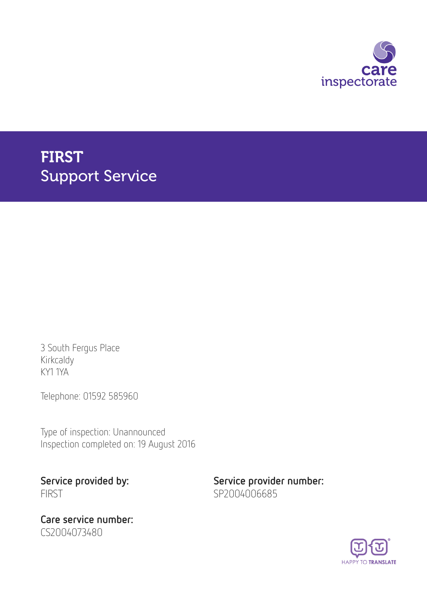

# FIRST Support Service

3 South Fergus Place Kirkcaldy KY1 1YA

Telephone: 01592 585960

Type of inspection: Unannounced Inspection completed on: 19 August 2016

FIRST SP2004006685

Care service number: CS2004073480

Service provided by: Service provider number:

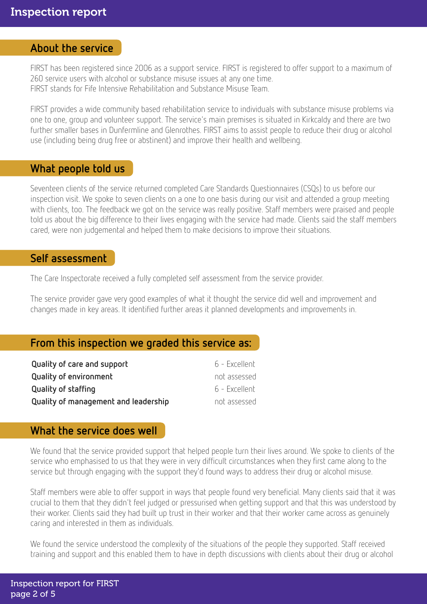#### About the service

FIRST has been registered since 2006 as a support service. FIRST is registered to offer support to a maximum of 260 service users with alcohol or substance misuse issues at any one time. FIRST stands for Fife Intensive Rehabilitation and Substance Misuse Team.

FIRST provides a wide community based rehabilitation service to individuals with substance misuse problems via one to one, group and volunteer support. The service's main premises is situated in Kirkcaldy and there are two further smaller bases in Dunfermline and Glenrothes. FIRST aims to assist people to reduce their drug or alcohol use (including being drug free or abstinent) and improve their health and wellbeing.

#### What people told us

Seventeen clients of the service returned completed Care Standards Questionnaires (CSQs) to us before our inspection visit. We spoke to seven clients on a one to one basis during our visit and attended a group meeting with clients, too. The feedback we got on the service was really positive. Staff members were praised and people told us about the big difference to their lives engaging with the service had made. Clients said the staff members cared, were non judgemental and helped them to make decisions to improve their situations.

#### Self assessment

The Care Inspectorate received a fully completed self assessment from the service provider.

The service provider gave very good examples of what it thought the service did well and improvement and changes made in key areas. It identified further areas it planned developments and improvements in.

### From this inspection we graded this service as:

| Quality of care and support          | 6 - Excellent |
|--------------------------------------|---------------|
| <b>Quality of environment</b>        | not assessed  |
| Quality of staffing                  | 6 - Excellent |
| Quality of management and leadership | not assessed  |

### What the service does well

We found that the service provided support that helped people turn their lives around. We spoke to clients of the service who emphasised to us that they were in very difficult circumstances when they first came along to the service but through engaging with the support they'd found ways to address their drug or alcohol misuse.

Staff members were able to offer support in ways that people found very beneficial. Many clients said that it was crucial to them that they didn't feel judged or pressurised when getting support and that this was understood by their worker. Clients said they had built up trust in their worker and that their worker came across as genuinely caring and interested in them as individuals.

We found the service understood the complexity of the situations of the people they supported. Staff received training and support and this enabled them to have in depth discussions with clients about their drug or alcohol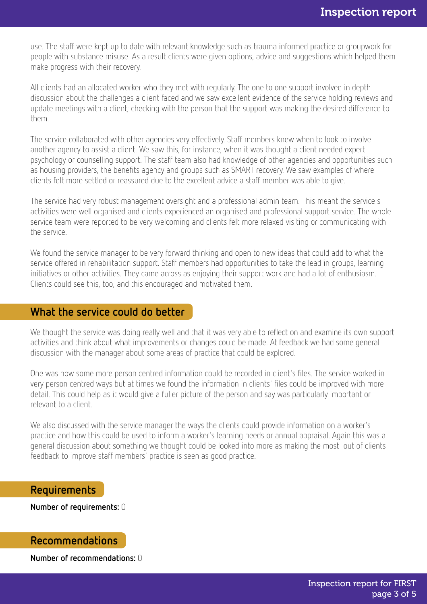use. The staff were kept up to date with relevant knowledge such as trauma informed practice or groupwork for people with substance misuse. As a result clients were given options, advice and suggestions which helped them make progress with their recovery.

All clients had an allocated worker who they met with regularly. The one to one support involved in depth discussion about the challenges a client faced and we saw excellent evidence of the service holding reviews and update meetings with a client; checking with the person that the support was making the desired difference to them.

The service collaborated with other agencies very effectively. Staff members knew when to look to involve another agency to assist a client. We saw this, for instance, when it was thought a client needed expert psychology or counselling support. The staff team also had knowledge of other agencies and opportunities such as housing providers, the benefits agency and groups such as SMART recovery. We saw examples of where clients felt more settled or reassured due to the excellent advice a staff member was able to give.

The service had very robust management oversight and a professional admin team. This meant the service's activities were well organised and clients experienced an organised and professional support service. The whole service team were reported to be very welcoming and clients felt more relaxed visiting or communicating with the service.

We found the service manager to be very forward thinking and open to new ideas that could add to what the service offered in rehabilitation support. Staff members had opportunities to take the lead in groups, learning initiatives or other activities. They came across as enjoying their support work and had a lot of enthusiasm. Clients could see this, too, and this encouraged and motivated them.

#### What the service could do better

We thought the service was doing really well and that it was very able to reflect on and examine its own support activities and think about what improvements or changes could be made. At feedback we had some general discussion with the manager about some areas of practice that could be explored.

One was how some more person centred information could be recorded in client's files. The service worked in very person centred ways but at times we found the information in clients' files could be improved with more detail. This could help as it would give a fuller picture of the person and say was particularly important or relevant to a client.

We also discussed with the service manager the ways the clients could provide information on a worker's practice and how this could be used to inform a worker's learning needs or annual appraisal. Again this was a general discussion about something we thought could be looked into more as making the most out of clients feedback to improve staff members' practice is seen as good practice.

#### Requirements

Number of requirements: 0

#### Recommendations

Number of recommendations: 0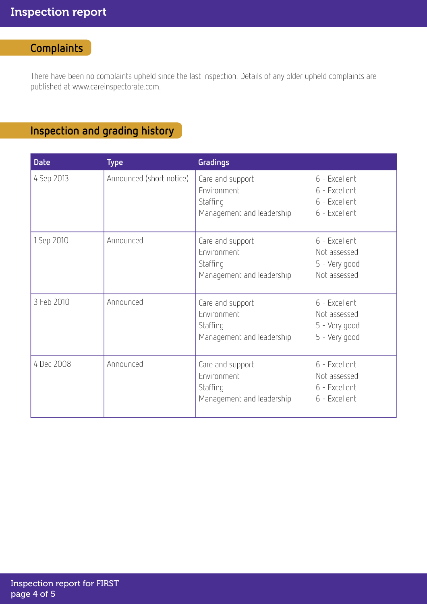# **Complaints**

There have been no complaints upheld since the last inspection. Details of any older upheld complaints are published at www.careinspectorate.com.

# Inspection and grading history

| <b>Date</b> | <b>Type</b>              | Gradings                                                                 |                                                                  |
|-------------|--------------------------|--------------------------------------------------------------------------|------------------------------------------------------------------|
| 4 Sep 2013  | Announced (short notice) | Care and support<br>Environment<br>Staffing<br>Management and leadership | 6 - Excellent<br>6 - Excellent<br>6 - Excellent<br>6 - Excellent |
| 1 Sep 2010  | Announced                | Care and support<br>Environment<br>Staffing<br>Management and leadership | 6 - Excellent<br>Not assessed<br>5 - Very good<br>Not assessed   |
| 3 Feb 2010  | Announced                | Care and support<br>Environment<br>Staffing<br>Management and leadership | 6 - Excellent<br>Not assessed<br>5 - Very good<br>5 - Very good  |
| 4 Dec 2008  | Announced                | Care and support<br>Environment<br>Staffing<br>Management and leadership | 6 - Excellent<br>Not assessed<br>6 - Excellent<br>6 - Excellent  |